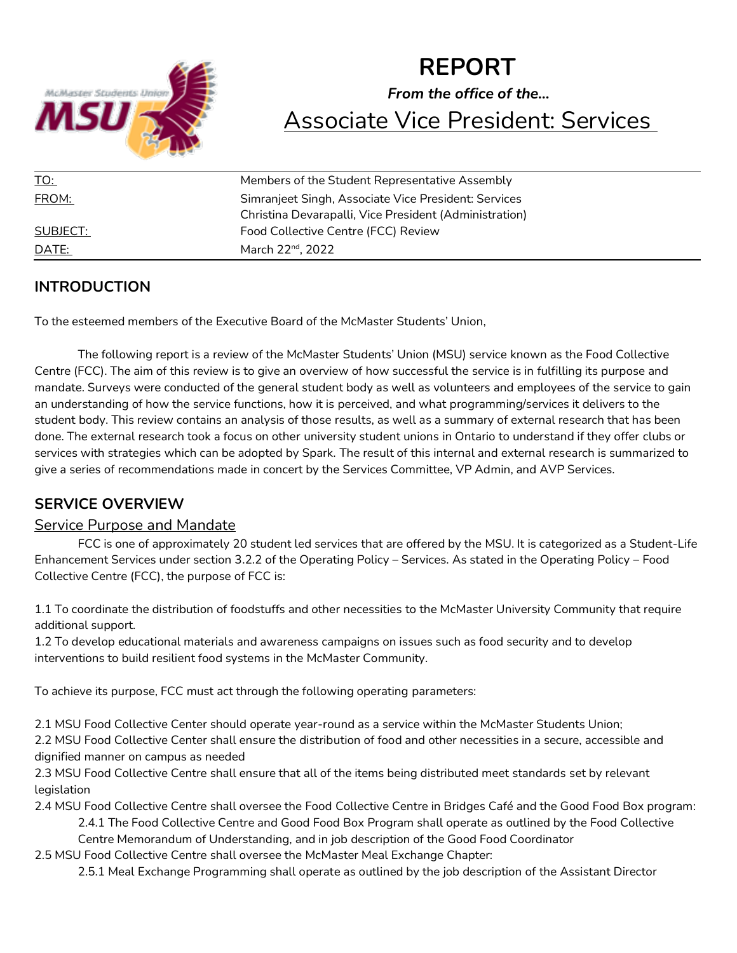

# **REPORT** *From the office of the…* Associate Vice President: Services

| <u>TO:</u> | Members of the Student Representative Assembly         |
|------------|--------------------------------------------------------|
| FROM:      | Simranjeet Singh, Associate Vice President: Services   |
|            | Christina Devarapalli, Vice President (Administration) |
| SUBJECT:   | Food Collective Centre (FCC) Review                    |
| DATE:      | March 22 <sup>nd</sup> , 2022                          |

## **INTRODUCTION**

To the esteemed members of the Executive Board of the McMaster Students' Union,

The following report is a review of the McMaster Students' Union (MSU) service known as the Food Collective Centre (FCC). The aim of this review is to give an overview of how successful the service is in fulfilling its purpose and mandate. Surveys were conducted of the general student body as well as volunteers and employees of the service to gain an understanding of how the service functions, how it is perceived, and what programming/services it delivers to the student body. This review contains an analysis of those results, as well as a summary of external research that has been done. The external research took a focus on other university student unions in Ontario to understand if they offer clubs or services with strategies which can be adopted by Spark. The result of this internal and external research is summarized to give a series of recommendations made in concert by the Services Committee, VP Admin, and AVP Services.

# **SERVICE OVERVIEW**

## Service Purpose and Mandate

FCC is one of approximately 20 student led services that are offered by the MSU. It is categorized as a Student-Life Enhancement Services under section 3.2.2 of the Operating Policy – Services. As stated in the Operating Policy – Food Collective Centre (FCC), the purpose of FCC is:

1.1 To coordinate the distribution of foodstuffs and other necessities to the McMaster University Community that require additional support.

1.2 To develop educational materials and awareness campaigns on issues such as food security and to develop interventions to build resilient food systems in the McMaster Community.

To achieve its purpose, FCC must act through the following operating parameters:

2.1 MSU Food Collective Center should operate year-round as a service within the McMaster Students Union;

2.2 MSU Food Collective Center shall ensure the distribution of food and other necessities in a secure, accessible and dignified manner on campus as needed

2.3 MSU Food Collective Centre shall ensure that all of the items being distributed meet standards set by relevant legislation

2.4 MSU Food Collective Centre shall oversee the Food Collective Centre in Bridges Café and the Good Food Box program:

2.4.1 The Food Collective Centre and Good Food Box Program shall operate as outlined by the Food Collective Centre Memorandum of Understanding, and in job description of the Good Food Coordinator

2.5 MSU Food Collective Centre shall oversee the McMaster Meal Exchange Chapter:

2.5.1 Meal Exchange Programming shall operate as outlined by the job description of the Assistant Director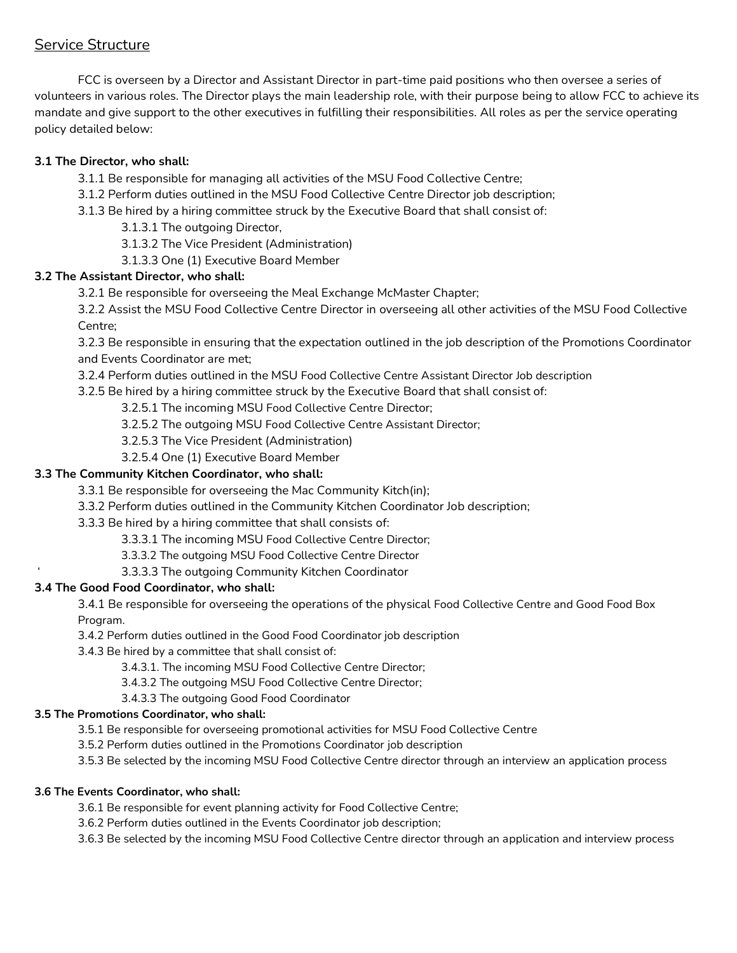## Service Structure

FCC is overseen by a Director and Assistant Director in part-time paid positions who then oversee a series of volunteers in various roles. The Director plays the main leadership role, with their purpose being to allow FCC to achieve its mandate and give support to the other executives in fulfilling their responsibilities. All roles as per the service operating policy detailed below:

### **3.1 The Director, who shall:**

- 3.1.1 Be responsible for managing all activities of the MSU Food Collective Centre;
- 3.1.2 Perform duties outlined in the MSU Food Collective Centre Director job description;
- 3.1.3 Be hired by a hiring committee struck by the Executive Board that shall consist of:
	- 3.1.3.1 The outgoing Director,
	- 3.1.3.2 The Vice President (Administration)
	- 3.1.3.3 One (1) Executive Board Member

#### **3.2 The Assistant Director, who shall:**

3.2.1 Be responsible for overseeing the Meal Exchange McMaster Chapter;

3.2.2 Assist the MSU Food Collective Centre Director in overseeing all other activities of the MSU Food Collective Centre;

3.2.3 Be responsible in ensuring that the expectation outlined in the job description of the Promotions Coordinator and Events Coordinator are met;

3.2.4 Perform duties outlined in the MSU Food Collective Centre Assistant Director Job description

3.2.5 Be hired by a hiring committee struck by the Executive Board that shall consist of:

3.2.5.1 The incoming MSU Food Collective Centre Director;

3.2.5.2 The outgoing MSU Food Collective Centre Assistant Director;

- 3.2.5.3 The Vice President (Administration)
- 3.2.5.4 One (1) Executive Board Member

#### **3.3 The Community Kitchen Coordinator, who shall:**

- 3.3.1 Be responsible for overseeing the Mac Community Kitch(in);
- 3.3.2 Perform duties outlined in the Community Kitchen Coordinator Job description;

#### 3.3.3 Be hired by a hiring committee that shall consists of:

- 3.3.3.1 The incoming MSU Food Collective Centre Director;
- 3.3.3.2 The outgoing MSU Food Collective Centre Director
- ' 3.3.3.3 The outgoing Community Kitchen Coordinator

#### **3.4 The Good Food Coordinator, who shall:**

3.4.1 Be responsible for overseeing the operations of the physical Food Collective Centre and Good Food Box Program.

3.4.2 Perform duties outlined in the Good Food Coordinator job description

3.4.3 Be hired by a committee that shall consist of:

- 3.4.3.1. The incoming MSU Food Collective Centre Director;
- 3.4.3.2 The outgoing MSU Food Collective Centre Director;
- 3.4.3.3 The outgoing Good Food Coordinator

#### **3.5 The Promotions Coordinator, who shall:**

3.5.1 Be responsible for overseeing promotional activities for MSU Food Collective Centre

3.5.2 Perform duties outlined in the Promotions Coordinator job description

3.5.3 Be selected by the incoming MSU Food Collective Centre director through an interview an application process

#### **3.6 The Events Coordinator, who shall:**

3.6.1 Be responsible for event planning activity for Food Collective Centre;

3.6.2 Perform duties outlined in the Events Coordinator job description;

3.6.3 Be selected by the incoming MSU Food Collective Centre director through an application and interview process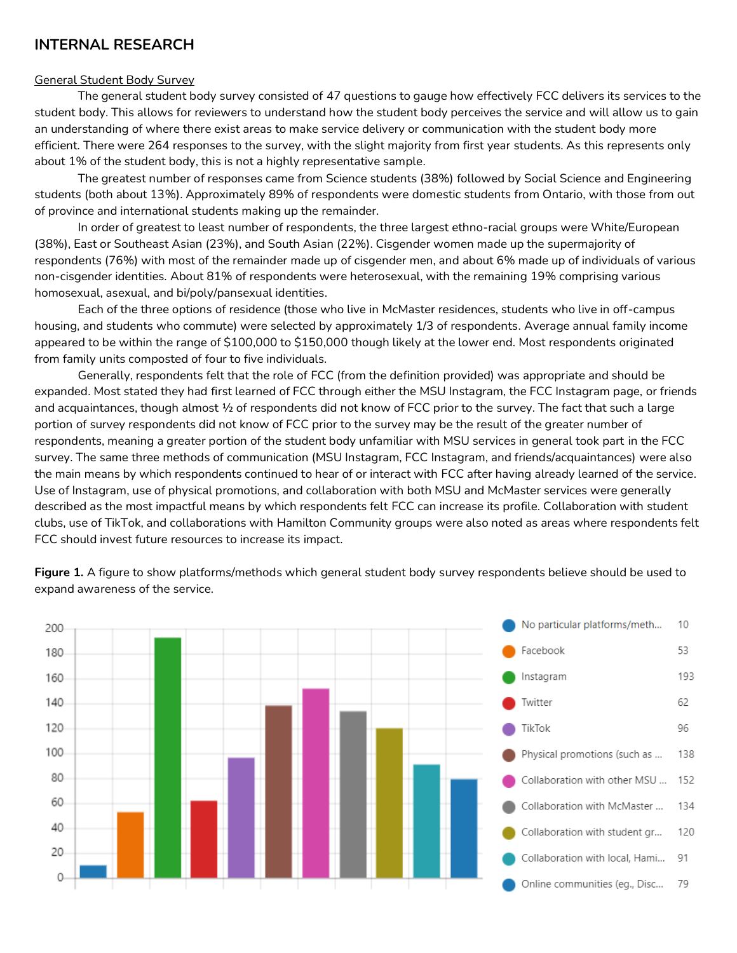## **INTERNAL RESEARCH**

#### General Student Body Survey

The general student body survey consisted of 47 questions to gauge how effectively FCC delivers its services to the student body. This allows for reviewers to understand how the student body perceives the service and will allow us to gain an understanding of where there exist areas to make service delivery or communication with the student body more efficient. There were 264 responses to the survey, with the slight majority from first year students. As this represents only about 1% of the student body, this is not a highly representative sample.

The greatest number of responses came from Science students (38%) followed by Social Science and Engineering students (both about 13%). Approximately 89% of respondents were domestic students from Ontario, with those from out of province and international students making up the remainder.

In order of greatest to least number of respondents, the three largest ethno-racial groups were White/European (38%), East or Southeast Asian (23%), and South Asian (22%). Cisgender women made up the supermajority of respondents (76%) with most of the remainder made up of cisgender men, and about 6% made up of individuals of various non-cisgender identities. About 81% of respondents were heterosexual, with the remaining 19% comprising various homosexual, asexual, and bi/poly/pansexual identities.

Each of the three options of residence (those who live in McMaster residences, students who live in off-campus housing, and students who commute) were selected by approximately 1/3 of respondents. Average annual family income appeared to be within the range of \$100,000 to \$150,000 though likely at the lower end. Most respondents originated from family units composted of four to five individuals.

Generally, respondents felt that the role of FCC (from the definition provided) was appropriate and should be expanded. Most stated they had first learned of FCC through either the MSU Instagram, the FCC Instagram page, or friends and acquaintances, though almost ½ of respondents did not know of FCC prior to the survey. The fact that such a large portion of survey respondents did not know of FCC prior to the survey may be the result of the greater number of respondents, meaning a greater portion of the student body unfamiliar with MSU services in general took part in the FCC survey. The same three methods of communication (MSU Instagram, FCC Instagram, and friends/acquaintances) were also the main means by which respondents continued to hear of or interact with FCC after having already learned of the service. Use of Instagram, use of physical promotions, and collaboration with both MSU and McMaster services were generally described as the most impactful means by which respondents felt FCC can increase its profile. Collaboration with student clubs, use of TikTok, and collaborations with Hamilton Community groups were also noted as areas where respondents felt FCC should invest future resources to increase its impact.

**Figure 1.** A figure to show platforms/methods which general student body survey respondents believe should be used to expand awareness of the service.

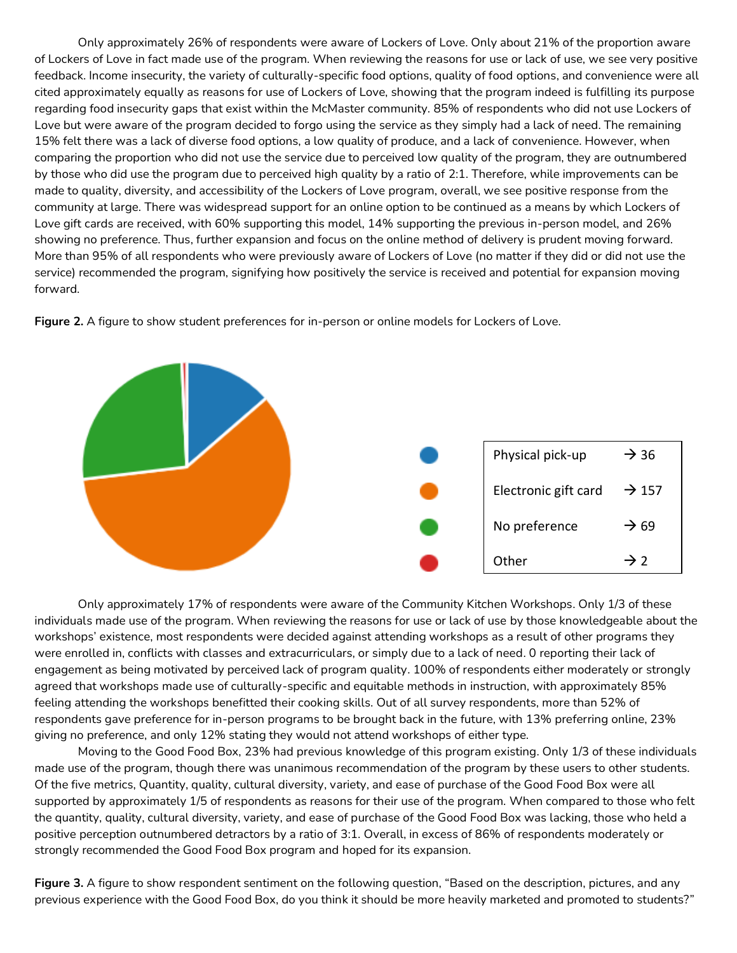Only approximately 26% of respondents were aware of Lockers of Love. Only about 21% of the proportion aware of Lockers of Love in fact made use of the program. When reviewing the reasons for use or lack of use, we see very positive feedback. Income insecurity, the variety of culturally-specific food options, quality of food options, and convenience were all cited approximately equally as reasons for use of Lockers of Love, showing that the program indeed is fulfilling its purpose regarding food insecurity gaps that exist within the McMaster community. 85% of respondents who did not use Lockers of Love but were aware of the program decided to forgo using the service as they simply had a lack of need. The remaining 15% felt there was a lack of diverse food options, a low quality of produce, and a lack of convenience. However, when comparing the proportion who did not use the service due to perceived low quality of the program, they are outnumbered by those who did use the program due to perceived high quality by a ratio of 2:1. Therefore, while improvements can be made to quality, diversity, and accessibility of the Lockers of Love program, overall, we see positive response from the community at large. There was widespread support for an online option to be continued as a means by which Lockers of Love gift cards are received, with 60% supporting this model, 14% supporting the previous in-person model, and 26% showing no preference. Thus, further expansion and focus on the online method of delivery is prudent moving forward. More than 95% of all respondents who were previously aware of Lockers of Love (no matter if they did or did not use the service) recommended the program, signifying how positively the service is received and potential for expansion moving forward.



**Figure 2.** A figure to show student preferences for in-person or online models for Lockers of Love.

Only approximately 17% of respondents were aware of the Community Kitchen Workshops. Only 1/3 of these individuals made use of the program. When reviewing the reasons for use or lack of use by those knowledgeable about the workshops' existence, most respondents were decided against attending workshops as a result of other programs they were enrolled in, conflicts with classes and extracurriculars, or simply due to a lack of need. 0 reporting their lack of engagement as being motivated by perceived lack of program quality. 100% of respondents either moderately or strongly agreed that workshops made use of culturally-specific and equitable methods in instruction, with approximately 85% feeling attending the workshops benefitted their cooking skills. Out of all survey respondents, more than 52% of respondents gave preference for in-person programs to be brought back in the future, with 13% preferring online, 23% giving no preference, and only 12% stating they would not attend workshops of either type.

Moving to the Good Food Box, 23% had previous knowledge of this program existing. Only 1/3 of these individuals made use of the program, though there was unanimous recommendation of the program by these users to other students. Of the five metrics, Quantity, quality, cultural diversity, variety, and ease of purchase of the Good Food Box were all supported by approximately 1/5 of respondents as reasons for their use of the program. When compared to those who felt the quantity, quality, cultural diversity, variety, and ease of purchase of the Good Food Box was lacking, those who held a positive perception outnumbered detractors by a ratio of 3:1. Overall, in excess of 86% of respondents moderately or strongly recommended the Good Food Box program and hoped for its expansion.

**Figure 3.** A figure to show respondent sentiment on the following question, "Based on the description, pictures, and any previous experience with the Good Food Box, do you think it should be more heavily marketed and promoted to students?"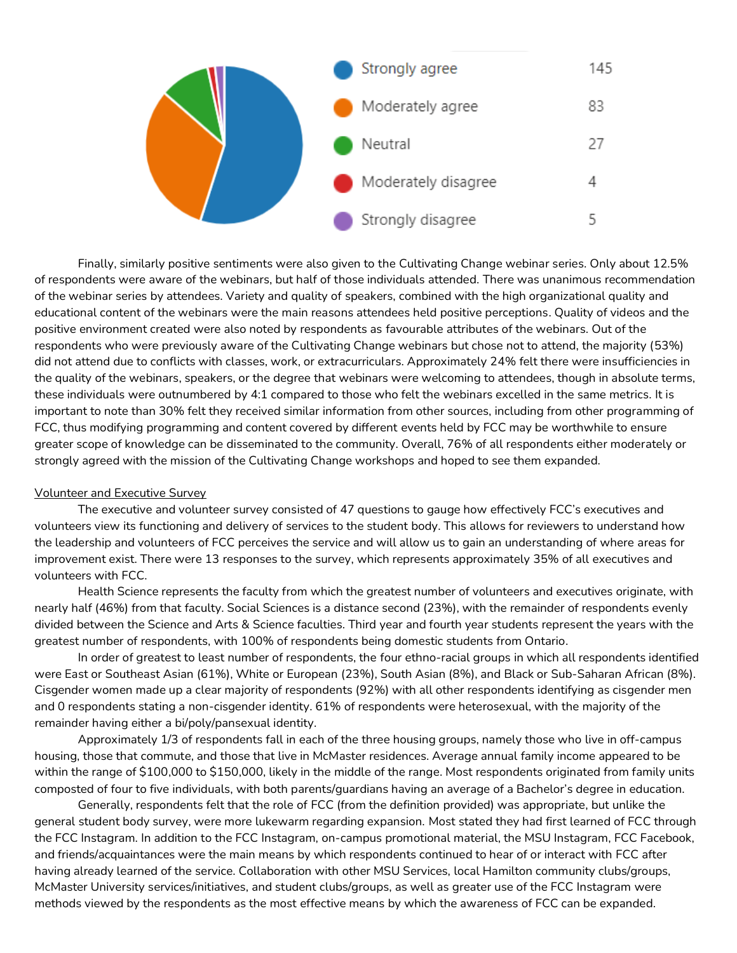

Finally, similarly positive sentiments were also given to the Cultivating Change webinar series. Only about 12.5% of respondents were aware of the webinars, but half of those individuals attended. There was unanimous recommendation of the webinar series by attendees. Variety and quality of speakers, combined with the high organizational quality and educational content of the webinars were the main reasons attendees held positive perceptions. Quality of videos and the positive environment created were also noted by respondents as favourable attributes of the webinars. Out of the respondents who were previously aware of the Cultivating Change webinars but chose not to attend, the majority (53%) did not attend due to conflicts with classes, work, or extracurriculars. Approximately 24% felt there were insufficiencies in the quality of the webinars, speakers, or the degree that webinars were welcoming to attendees, though in absolute terms, these individuals were outnumbered by 4:1 compared to those who felt the webinars excelled in the same metrics. It is important to note than 30% felt they received similar information from other sources, including from other programming of FCC, thus modifying programming and content covered by different events held by FCC may be worthwhile to ensure greater scope of knowledge can be disseminated to the community. Overall, 76% of all respondents either moderately or strongly agreed with the mission of the Cultivating Change workshops and hoped to see them expanded.

#### Volunteer and Executive Survey

The executive and volunteer survey consisted of 47 questions to gauge how effectively FCC's executives and volunteers view its functioning and delivery of services to the student body. This allows for reviewers to understand how the leadership and volunteers of FCC perceives the service and will allow us to gain an understanding of where areas for improvement exist. There were 13 responses to the survey, which represents approximately 35% of all executives and volunteers with FCC.

Health Science represents the faculty from which the greatest number of volunteers and executives originate, with nearly half (46%) from that faculty. Social Sciences is a distance second (23%), with the remainder of respondents evenly divided between the Science and Arts & Science faculties. Third year and fourth year students represent the years with the greatest number of respondents, with 100% of respondents being domestic students from Ontario.

In order of greatest to least number of respondents, the four ethno-racial groups in which all respondents identified were East or Southeast Asian (61%), White or European (23%), South Asian (8%), and Black or Sub-Saharan African (8%). Cisgender women made up a clear majority of respondents (92%) with all other respondents identifying as cisgender men and 0 respondents stating a non-cisgender identity. 61% of respondents were heterosexual, with the majority of the remainder having either a bi/poly/pansexual identity.

Approximately 1/3 of respondents fall in each of the three housing groups, namely those who live in off-campus housing, those that commute, and those that live in McMaster residences. Average annual family income appeared to be within the range of \$100,000 to \$150,000, likely in the middle of the range. Most respondents originated from family units composted of four to five individuals, with both parents/guardians having an average of a Bachelor's degree in education.

Generally, respondents felt that the role of FCC (from the definition provided) was appropriate, but unlike the general student body survey, were more lukewarm regarding expansion. Most stated they had first learned of FCC through the FCC Instagram. In addition to the FCC Instagram, on-campus promotional material, the MSU Instagram, FCC Facebook, and friends/acquaintances were the main means by which respondents continued to hear of or interact with FCC after having already learned of the service. Collaboration with other MSU Services, local Hamilton community clubs/groups, McMaster University services/initiatives, and student clubs/groups, as well as greater use of the FCC Instagram were methods viewed by the respondents as the most effective means by which the awareness of FCC can be expanded.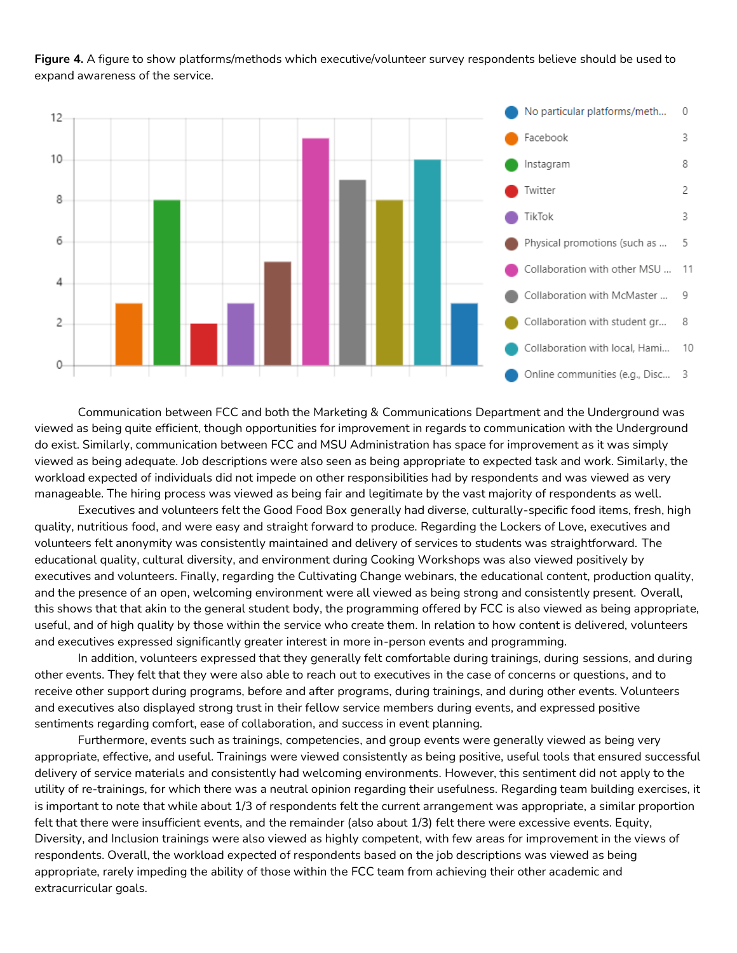**Figure 4.** A figure to show platforms/methods which executive/volunteer survey respondents believe should be used to expand awareness of the service.



Communication between FCC and both the Marketing & Communications Department and the Underground was viewed as being quite efficient, though opportunities for improvement in regards to communication with the Underground do exist. Similarly, communication between FCC and MSU Administration has space for improvement as it was simply viewed as being adequate. Job descriptions were also seen as being appropriate to expected task and work. Similarly, the workload expected of individuals did not impede on other responsibilities had by respondents and was viewed as very manageable. The hiring process was viewed as being fair and legitimate by the vast majority of respondents as well.

Executives and volunteers felt the Good Food Box generally had diverse, culturally-specific food items, fresh, high quality, nutritious food, and were easy and straight forward to produce. Regarding the Lockers of Love, executives and volunteers felt anonymity was consistently maintained and delivery of services to students was straightforward. The educational quality, cultural diversity, and environment during Cooking Workshops was also viewed positively by executives and volunteers. Finally, regarding the Cultivating Change webinars, the educational content, production quality, and the presence of an open, welcoming environment were all viewed as being strong and consistently present. Overall, this shows that that akin to the general student body, the programming offered by FCC is also viewed as being appropriate, useful, and of high quality by those within the service who create them. In relation to how content is delivered, volunteers and executives expressed significantly greater interest in more in-person events and programming.

In addition, volunteers expressed that they generally felt comfortable during trainings, during sessions, and during other events. They felt that they were also able to reach out to executives in the case of concerns or questions, and to receive other support during programs, before and after programs, during trainings, and during other events. Volunteers and executives also displayed strong trust in their fellow service members during events, and expressed positive sentiments regarding comfort, ease of collaboration, and success in event planning.

Furthermore, events such as trainings, competencies, and group events were generally viewed as being very appropriate, effective, and useful. Trainings were viewed consistently as being positive, useful tools that ensured successful delivery of service materials and consistently had welcoming environments. However, this sentiment did not apply to the utility of re-trainings, for which there was a neutral opinion regarding their usefulness. Regarding team building exercises, it is important to note that while about 1/3 of respondents felt the current arrangement was appropriate, a similar proportion felt that there were insufficient events, and the remainder (also about 1/3) felt there were excessive events. Equity, Diversity, and Inclusion trainings were also viewed as highly competent, with few areas for improvement in the views of respondents. Overall, the workload expected of respondents based on the job descriptions was viewed as being appropriate, rarely impeding the ability of those within the FCC team from achieving their other academic and extracurricular goals.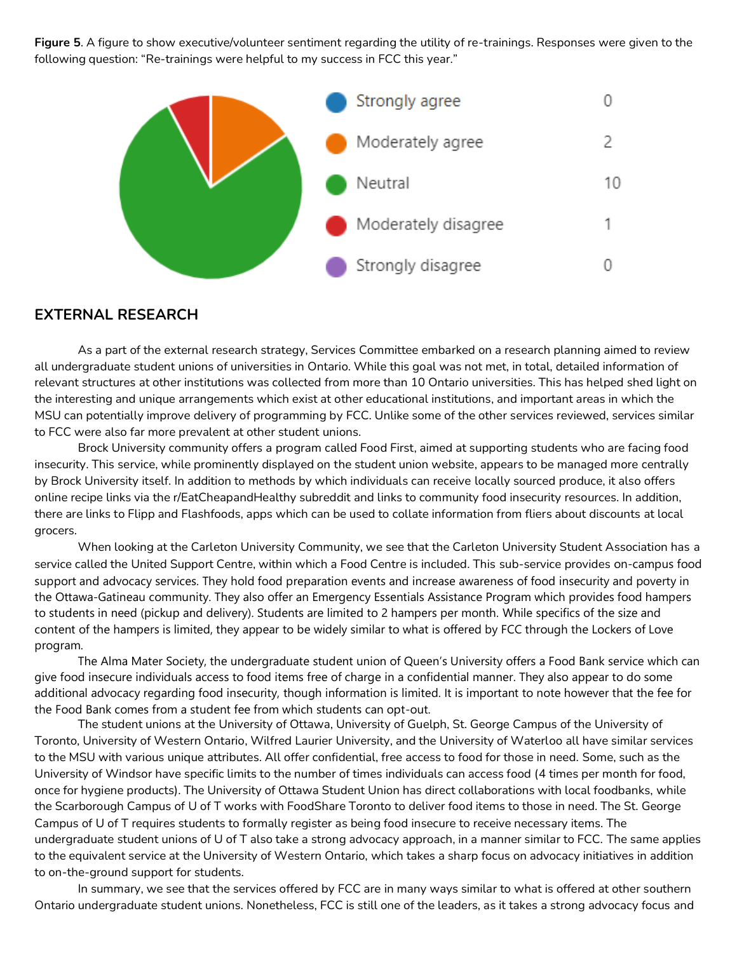**Figure 5**. A figure to show executive/volunteer sentiment regarding the utility of re-trainings. Responses were given to the following question: "Re-trainings were helpful to my success in FCC this year."



#### **EXTERNAL RESEARCH**

As a part of the external research strategy, Services Committee embarked on a research planning aimed to review all undergraduate student unions of universities in Ontario. While this goal was not met, in total, detailed information of relevant structures at other institutions was collected from more than 10 Ontario universities. This has helped shed light on the interesting and unique arrangements which exist at other educational institutions, and important areas in which the MSU can potentially improve delivery of programming by FCC. Unlike some of the other services reviewed, services similar to FCC were also far more prevalent at other student unions.

Brock University community offers a program called Food First, aimed at supporting students who are facing food insecurity. This service, while prominently displayed on the student union website, appears to be managed more centrally by Brock University itself. In addition to methods by which individuals can receive locally sourced produce, it also offers online recipe links via the r/EatCheapandHealthy subreddit and links to community food insecurity resources. In addition, there are links to Flipp and Flashfoods, apps which can be used to collate information from fliers about discounts at local grocers.

When looking at the Carleton University Community, we see that the Carleton University Student Association has a service called the United Support Centre, within which a Food Centre is included. This sub-service provides on-campus food support and advocacy services. They hold food preparation events and increase awareness of food insecurity and poverty in the Ottawa-Gatineau community. They also offer an Emergency Essentials Assistance Program which provides food hampers to students in need (pickup and delivery). Students are limited to 2 hampers per month. While specifics of the size and content of the hampers is limited, they appear to be widely similar to what is offered by FCC through the Lockers of Love program.

The Alma Mater Society, the undergraduate student union of Queen's University offers a Food Bank service which can give food insecure individuals access to food items free of charge in a confidential manner. They also appear to do some additional advocacy regarding food insecurity, though information is limited. It is important to note however that the fee for the Food Bank comes from a student fee from which students can opt-out.

The student unions at the University of Ottawa, University of Guelph, St. George Campus of the University of Toronto, University of Western Ontario, Wilfred Laurier University, and the University of Waterloo all have similar services to the MSU with various unique attributes. All offer confidential, free access to food for those in need. Some, such as the University of Windsor have specific limits to the number of times individuals can access food (4 times per month for food, once for hygiene products). The University of Ottawa Student Union has direct collaborations with local foodbanks, while the Scarborough Campus of U of T works with FoodShare Toronto to deliver food items to those in need. The St. George Campus of U of T requires students to formally register as being food insecure to receive necessary items. The undergraduate student unions of U of T also take a strong advocacy approach, in a manner similar to FCC. The same applies to the equivalent service at the University of Western Ontario, which takes a sharp focus on advocacy initiatives in addition to on-the-ground support for students.

In summary, we see that the services offered by FCC are in many ways similar to what is offered at other southern Ontario undergraduate student unions. Nonetheless, FCC is still one of the leaders, as it takes a strong advocacy focus and